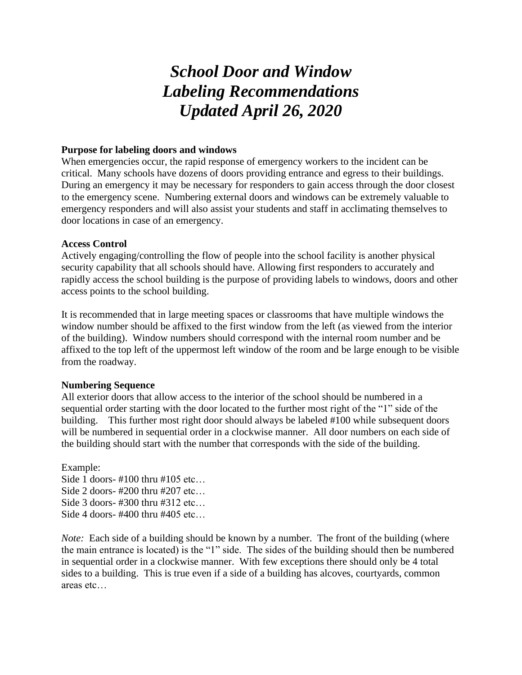# *School Door and Window Labeling Recommendations Updated April 26, 2020*

## **Purpose for labeling doors and windows**

When emergencies occur, the rapid response of emergency workers to the incident can be critical. Many schools have dozens of doors providing entrance and egress to their buildings. During an emergency it may be necessary for responders to gain access through the door closest to the emergency scene. Numbering external doors and windows can be extremely valuable to emergency responders and will also assist your students and staff in acclimating themselves to door locations in case of an emergency.

## **Access Control**

Actively engaging/controlling the flow of people into the school facility is another physical security capability that all schools should have. Allowing first responders to accurately and rapidly access the school building is the purpose of providing labels to windows, doors and other access points to the school building.

It is recommended that in large meeting spaces or classrooms that have multiple windows the window number should be affixed to the first window from the left (as viewed from the interior of the building). Window numbers should correspond with the internal room number and be affixed to the top left of the uppermost left window of the room and be large enough to be visible from the roadway.

## **Numbering Sequence**

All exterior doors that allow access to the interior of the school should be numbered in a sequential order starting with the door located to the further most right of the "1" side of the building. This further most right door should always be labeled #100 while subsequent doors will be numbered in sequential order in a clockwise manner. All door numbers on each side of the building should start with the number that corresponds with the side of the building.

Example: Side 1 doors- #100 thru #105 etc… Side 2 doors- #200 thru #207 etc… Side 3 doors- #300 thru #312 etc… Side 4 doors- #400 thru #405 etc…

*Note:* Each side of a building should be known by a number. The front of the building (where the main entrance is located) is the "1" side. The sides of the building should then be numbered in sequential order in a clockwise manner. With few exceptions there should only be 4 total sides to a building. This is true even if a side of a building has alcoves, courtyards, common areas etc…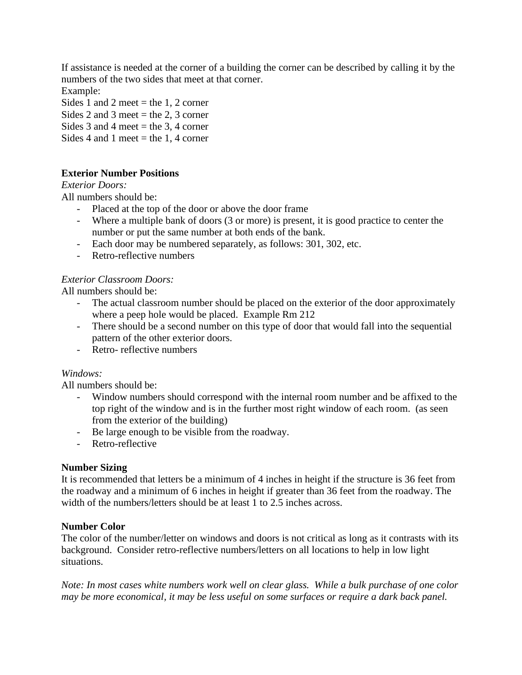If assistance is needed at the corner of a building the corner can be described by calling it by the numbers of the two sides that meet at that corner.

Example:

Sides 1 and 2 meet = the 1, 2 corner

Sides 2 and 3 meet = the 2, 3 corner

Sides 3 and 4 meet = the 3, 4 corner

Sides 4 and 1 meet = the 1, 4 corner

# **Exterior Number Positions**

## *Exterior Doors:*

All numbers should be:

- Placed at the top of the door or above the door frame
- Where a multiple bank of doors (3 or more) is present, it is good practice to center the number or put the same number at both ends of the bank.
- Each door may be numbered separately, as follows: 301, 302, etc.
- Retro-reflective numbers

## *Exterior Classroom Doors:*

All numbers should be:

- The actual classroom number should be placed on the exterior of the door approximately where a peep hole would be placed. Example Rm 212
- There should be a second number on this type of door that would fall into the sequential pattern of the other exterior doors.
- Retro- reflective numbers

# *Windows:*

All numbers should be:

- Window numbers should correspond with the internal room number and be affixed to the top right of the window and is in the further most right window of each room. (as seen from the exterior of the building)
- Be large enough to be visible from the roadway.
- Retro-reflective

## **Number Sizing**

It is recommended that letters be a minimum of 4 inches in height if the structure is 36 feet from the roadway and a minimum of 6 inches in height if greater than 36 feet from the roadway. The width of the numbers/letters should be at least 1 to 2.5 inches across.

## **Number Color**

The color of the number/letter on windows and doors is not critical as long as it contrasts with its background. Consider retro-reflective numbers/letters on all locations to help in low light situations.

*Note: In most cases white numbers work well on clear glass. While a bulk purchase of one color may be more economical, it may be less useful on some surfaces or require a dark back panel.*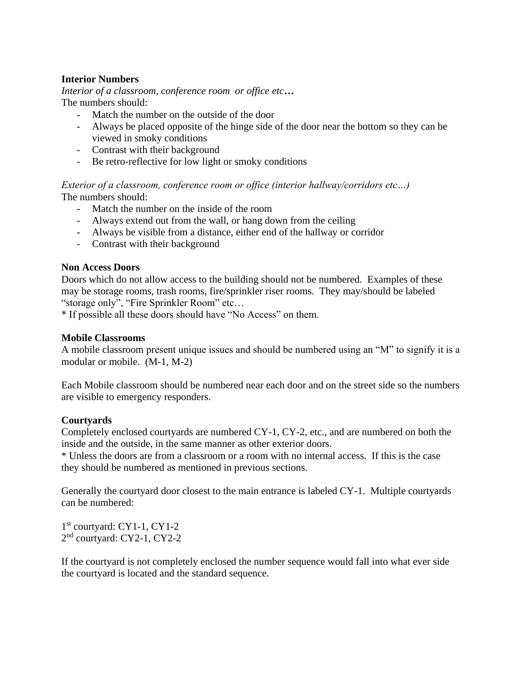## **Interior Numbers**

*Interior of a classroom, conference room or office etc…* The numbers should:

- Match the number on the outside of the door
- Always be placed opposite of the hinge side of the door near the bottom so they can be viewed in smoky conditions
- Contrast with their background
- Be retro-reflective for low light or smoky conditions

*Exterior of a classroom, conference room or office (interior hallway/corridors etc…)* The numbers should:

- Match the number on the inside of the room
- Always extend out from the wall, or hang down from the ceiling
- Always be visible from a distance, either end of the hallway or corridor
- Contrast with their background

## **Non Access Doors**

Doors which do not allow access to the building should not be numbered. Examples of these may be storage rooms, trash rooms, fire/sprinkler riser rooms. They may/should be labeled "storage only", "Fire Sprinkler Room" etc…

\* If possible all these doors should have "No Access" on them.

## **Mobile Classrooms**

A mobile classroom present unique issues and should be numbered using an "M" to signify it is a modular or mobile. (M-1, M-2)

Each Mobile classroom should be numbered near each door and on the street side so the numbers are visible to emergency responders.

# **Courtyards**

Completely enclosed courtyards are numbered CY-1, CY-2, etc., and are numbered on both the inside and the outside, in the same manner as other exterior doors.

\* Unless the doors are from a classroom or a room with no internal access. If this is the case they should be numbered as mentioned in previous sections.

Generally the courtyard door closest to the main entrance is labeled CY-1. Multiple courtyards can be numbered:

1 st courtyard: CY1-1, CY1-2 2<sup>nd</sup> courtyard: CY2-1, CY2-2

If the courtyard is not completely enclosed the number sequence would fall into what ever side the courtyard is located and the standard sequence.